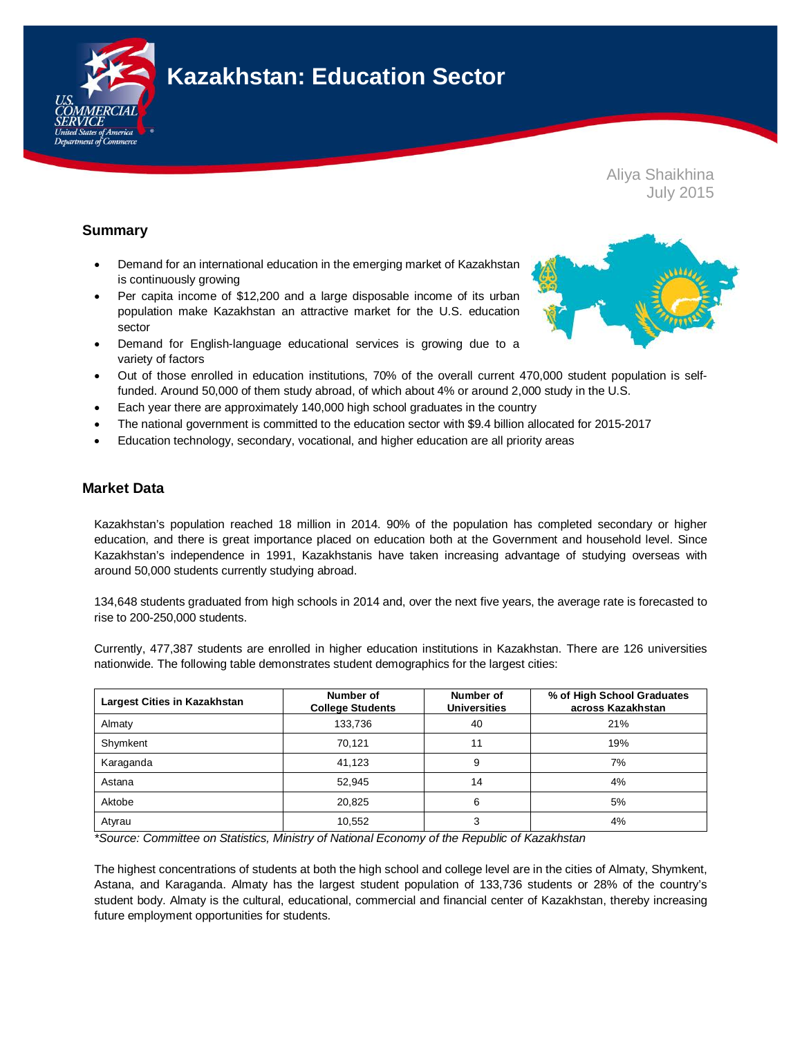

# **Kazakhstan: Education Sector**

Aliya Shaikhina July 2015

# **Summary**

- Demand for an international education in the emerging market of Kazakhstan is continuously growing
- Per capita income of \$12,200 and a large disposable income of its urban population make Kazakhstan an attractive market for the U.S. education sector
- Demand for English-language educational services is growing due to a variety of factors
- Out of those enrolled in education institutions, 70% of the overall current 470,000 student population is selffunded. Around 50,000 of them study abroad, of which about 4% or around 2,000 study in the U.S.
- Each year there are approximately 140,000 high school graduates in the country
- The national government is committed to the education sector with \$9.4 billion allocated for 2015-2017
- Education technology, secondary, vocational, and higher education are all priority areas

## **Market Data**

Kazakhstan's population reached 18 million in 2014. 90% of the population has completed secondary or higher education, and there is great importance placed on education both at the Government and household level. Since Kazakhstan's independence in 1991, Kazakhstanis have taken increasing advantage of studying overseas with around 50,000 students currently studying abroad.

134,648 students graduated from high schools in 2014 and, over the next five years, the average rate is forecasted to rise to 200-250,000 students.

Currently, 477,387 students are enrolled in higher education institutions in Kazakhstan. There are 126 universities nationwide. The following table demonstrates student demographics for the largest cities:

| <b>Largest Cities in Kazakhstan</b> | Number of<br><b>College Students</b> | Number of<br><b>Universities</b> | % of High School Graduates<br>across Kazakhstan |
|-------------------------------------|--------------------------------------|----------------------------------|-------------------------------------------------|
| Almaty                              | 133.736                              | 40                               | 21%                                             |
| Shymkent                            | 70.121                               | 11                               | 19%                                             |
| Karaganda                           | 41.123                               | 9                                | 7%                                              |
| Astana                              | 52.945                               | 14                               | 4%                                              |
| Aktobe                              | 20,825                               | 6                                | 5%                                              |
| Atyrau                              | 10,552                               | 3                                | 4%                                              |

*\*Source: Committee on Statistics, Ministry of National Economy of the Republic of Kazakhstan*

The highest concentrations of students at both the high school and college level are in the cities of Almaty, Shymkent, Astana, and Karaganda. Almaty has the largest student population of 133,736 students or 28% of the country's student body. Almaty is the cultural, educational, commercial and financial center of Kazakhstan, thereby increasing future employment opportunities for students.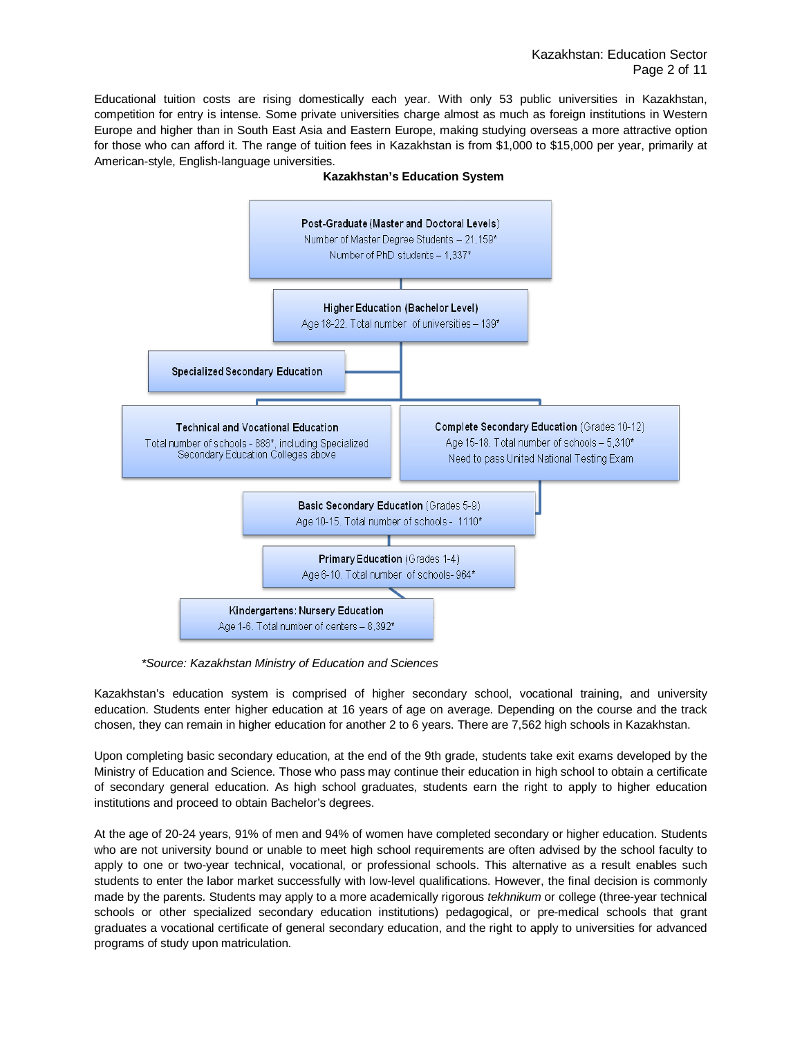Educational tuition costs are rising domestically each year. With only 53 public universities in Kazakhstan, competition for entry is intense. Some private universities charge almost as much as foreign institutions in Western Europe and higher than in South East Asia and Eastern Europe, making studying overseas a more attractive option for those who can afford it. The range of tuition fees in Kazakhstan is from \$1,000 to \$15,000 per year, primarily at American-style, English-language universities.



**Kazakhstan's Education System**

*\*Source: Kazakhstan Ministry of Education and Sciences*

Kazakhstan's education system is comprised of higher secondary school, vocational training, and university education. Students enter higher education at 16 years of age on average. Depending on the course and the track chosen, they can remain in higher education for another 2 to 6 years. There are 7,562 high schools in Kazakhstan.

Upon completing basic secondary education, at the end of the 9th grade, students take exit exams developed by the Ministry of Education and Science. Those who pass may continue their education in high school to obtain a certificate of secondary general education. As high school graduates, students earn the right to apply to higher education institutions and proceed to obtain Bachelor's degrees.

At the age of 20-24 years, 91% of men and 94% of women have completed secondary or higher education. Students who are not university bound or unable to meet high school requirements are often advised by the school faculty to apply to one or two-year technical, vocational, or professional schools. This alternative as a result enables such students to enter the labor market successfully with low-level qualifications. However, the final decision is commonly made by the parents. Students may apply to a more academically rigorous *tekhnikum* or college (three-year technical schools or other specialized secondary education institutions) pedagogical, or pre-medical schools that grant graduates a vocational certificate of general secondary education, and the right to apply to universities for advanced programs of study upon matriculation.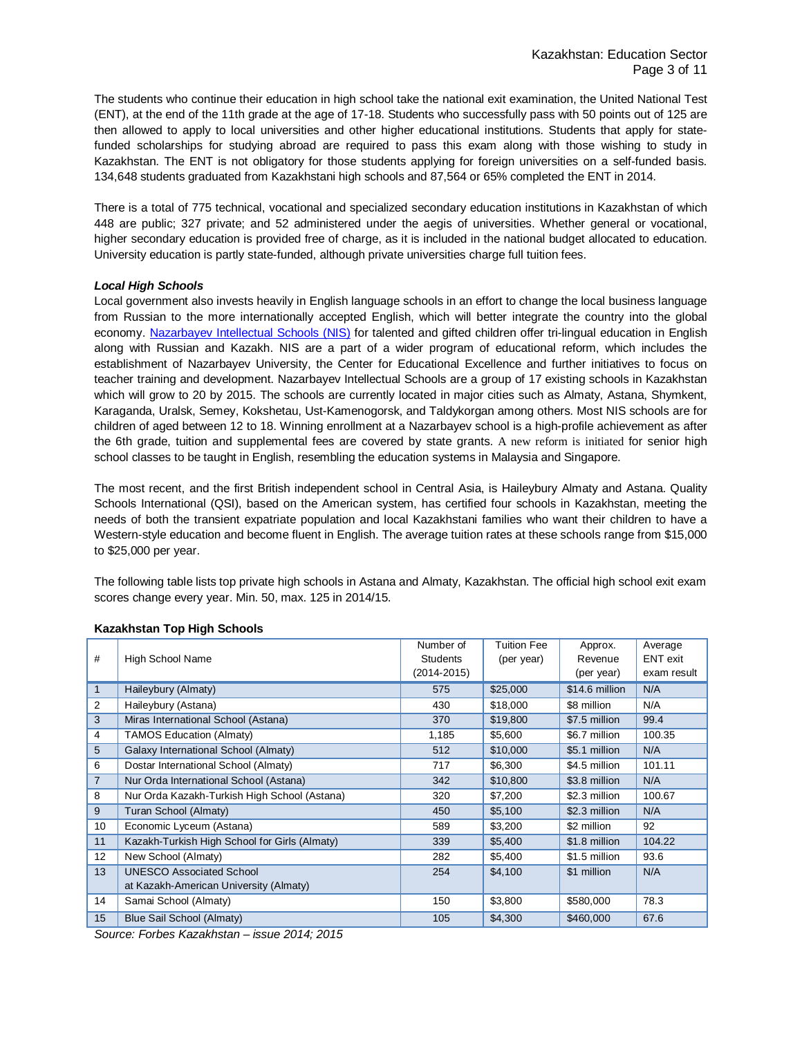The students who continue their education in high school take the national exit examination, the United National Test (ENT), at the end of the 11th grade at the age of 17-18. Students who successfully pass with 50 points out of 125 are then allowed to apply to local universities and other higher educational institutions. Students that apply for statefunded scholarships for studying abroad are required to pass this exam along with those wishing to study in Kazakhstan. The ENT is not obligatory for those students applying for foreign universities on a self-funded basis. 134,648 students graduated from Kazakhstani high schools and 87,564 or 65% completed the ENT in 2014.

There is a total of 775 technical, vocational and specialized secondary education institutions in Kazakhstan of which 448 are public; 327 private; and 52 administered under the aegis of universities. Whether general or vocational, higher secondary education is provided free of charge, as it is included in the national budget allocated to education. University education is partly state-funded, although private universities charge full tuition fees.

#### *Local High Schools*

Local government also invests heavily in English language schools in an effort to change the local business language from Russian to the more internationally accepted English, which will better integrate the country into the global economy. [Nazarbayev Intellectual Schools \(NIS\)](http://nis.edu.kz/en/) for talented and gifted children offer tri-lingual education in English along with Russian and Kazakh. NIS are a part of a wider program of educational reform, which includes the establishment of Nazarbayev University, the Center for Educational Excellence and further initiatives to focus on teacher training and development. Nazarbayev Intellectual Schools are a group of 17 existing schools in Kazakhstan which will grow to 20 by 2015. The schools are currently located in major cities such as Almaty, Astana, Shymkent, Karaganda, Uralsk, Semey, Kokshetau, Ust-Kamenogorsk, and Taldykorgan among others. Most NIS schools are for children of aged between 12 to 18. Winning enrollment at a Nazarbayev school is a high-profile achievement as after the 6th grade, tuition and supplemental fees are covered by state grants. A new reform is initiated for senior high school classes to be taught in English, resembling the education systems in Malaysia and Singapore.

The most recent, and the first British independent school in Central Asia, is Haileybury Almaty and Astana. Quality Schools International (QSI), based on the American system, has certified four schools in Kazakhstan, meeting the needs of both the transient expatriate population and local Kazakhstani families who want their children to have a Western-style education and become fluent in English. The average tuition rates at these schools range from \$15,000 to \$25,000 per year.

The following table lists top private high schools in Astana and Almaty, Kazakhstan. The official high school exit exam scores change every year. Min. 50, max. 125 in 2014/15.

|                |                                               | Number of       | <b>Tuition Fee</b> | Approx.        | Average     |
|----------------|-----------------------------------------------|-----------------|--------------------|----------------|-------------|
| #              | <b>High School Name</b>                       | <b>Students</b> | (per year)         | Revenue        | ENT exit    |
|                |                                               | $(2014 - 2015)$ |                    | (per year)     | exam result |
|                | Haileybury (Almaty)                           | 575             | \$25,000           | \$14.6 million | N/A         |
| 2              | Haileybury (Astana)                           | 430             | \$18,000           | \$8 million    | N/A         |
| 3              | Miras International School (Astana)           | 370             | \$19,800           | \$7.5 million  | 99.4        |
| 4              | <b>TAMOS Education (Almaty)</b>               | 1,185           | \$5,600            | \$6.7 million  | 100.35      |
| 5              | Galaxy International School (Almaty)          | 512             | \$10,000           | \$5.1 million  | N/A         |
| 6              | Dostar International School (Almaty)          | 717             | \$6,300            | \$4.5 million  | 101.11      |
| $\overline{7}$ | Nur Orda International School (Astana)        | 342             | \$10,800           | \$3.8 million  | N/A         |
| 8              | Nur Orda Kazakh-Turkish High School (Astana)  | 320             | \$7,200            | \$2.3 million  | 100.67      |
| 9              | Turan School (Almaty)                         | 450             | \$5,100            | \$2.3 million  | N/A         |
| 10             | Economic Lyceum (Astana)                      | 589             | \$3,200            | \$2 million    | 92          |
| 11             | Kazakh-Turkish High School for Girls (Almaty) | 339             | \$5,400            | \$1.8 million  | 104.22      |
| 12             | New School (Almaty)                           | 282             | \$5,400            | \$1.5 million  | 93.6        |
| 13             | <b>UNESCO Associated School</b>               | 254             | \$4,100            | \$1 million    | N/A         |
|                | at Kazakh-American University (Almaty)        |                 |                    |                |             |
| 14             | Samai School (Almaty)                         | 150             | \$3,800            | \$580,000      | 78.3        |
| 15             | Blue Sail School (Almaty)                     | 105             | \$4,300            | \$460,000      | 67.6        |

#### **Kazakhstan Top High Schools**

*Source: Forbes Kazakhstan – issue 2014; 2015*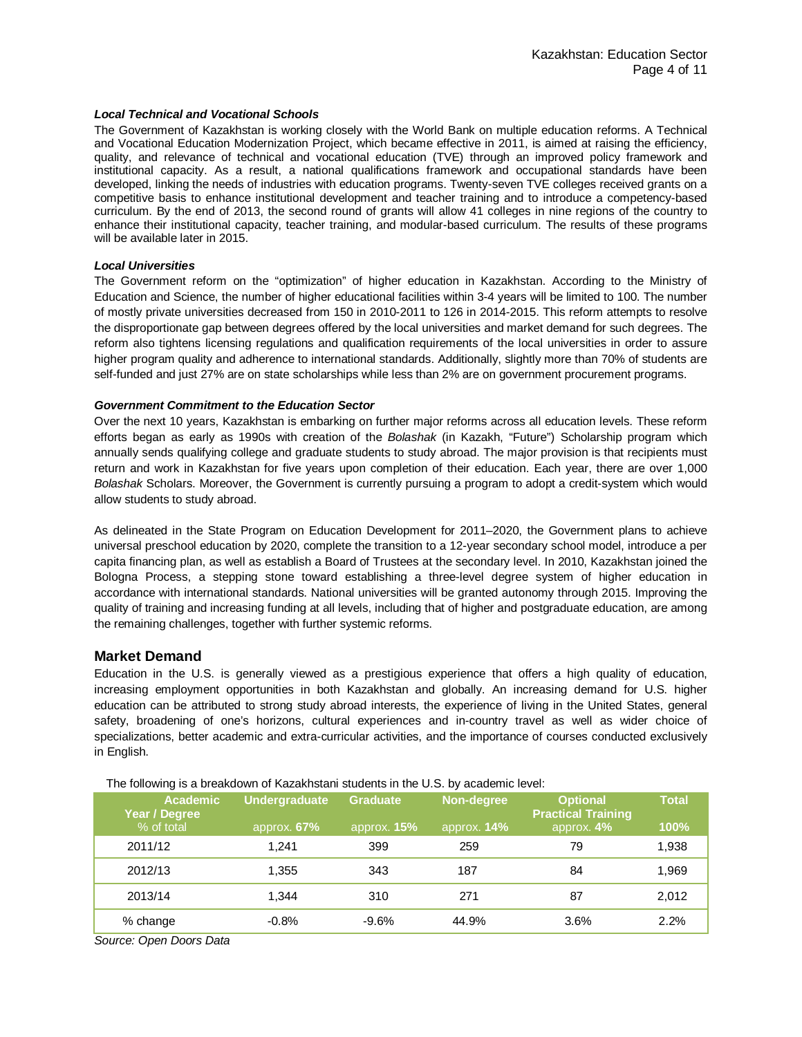#### *Local Technical and Vocational Schools*

The Government of Kazakhstan is working closely with the World Bank on multiple education reforms. A Technical and Vocational Education Modernization Project, which became effective in 2011, is aimed at raising the efficiency, quality, and relevance of technical and vocational education (TVE) through an improved policy framework and institutional capacity. As a result, a national qualifications framework and occupational standards have been developed, linking the needs of industries with education programs. Twenty-seven TVE colleges received grants on a competitive basis to enhance institutional development and teacher training and to introduce a competency-based curriculum. By the end of 2013, the second round of grants will allow 41 colleges in nine regions of the country to enhance their institutional capacity, teacher training, and modular-based curriculum. The results of these programs will be available later in 2015.

#### *Local Universities*

The Government reform on the "optimization" of higher education in Kazakhstan. According to the Ministry of Education and Science, the number of higher educational facilities within 3-4 years will be limited to 100. The number of mostly private universities decreased from 150 in 2010-2011 to 126 in 2014-2015. This reform attempts to resolve the disproportionate gap between degrees offered by the local universities and market demand for such degrees. The reform also tightens licensing regulations and qualification requirements of the local universities in order to assure higher program quality and adherence to international standards. Additionally, slightly more than 70% of students are self-funded and just 27% are on state scholarships while less than 2% are on government procurement programs.

#### *Government Commitment to the Education Sector*

Over the next 10 years, Kazakhstan is embarking on further major reforms across all education levels. These reform efforts began as early as 1990s with creation of the *Bolashak* (in Kazakh, "Future") Scholarship program which annually sends qualifying college and graduate students to study abroad. The major provision is that recipients must return and work in Kazakhstan for five years upon completion of their education. Each year, there are over 1,000 *Bolashak* Scholars. Moreover, the Government is currently pursuing a program to adopt a credit-system which would allow students to study abroad.

As delineated in the State Program on Education Development for 2011–2020, the Government plans to achieve universal preschool education by 2020, complete the transition to a 12-year secondary school model, introduce a per capita financing plan, as well as establish a Board of Trustees at the secondary level. In 2010, Kazakhstan joined the Bologna Process, a stepping stone toward establishing a three-level degree system of higher education in accordance with international standards. National universities will be granted autonomy through 2015. Improving the quality of training and increasing funding at all levels, including that of higher and postgraduate education, are among the remaining challenges, together with further systemic reforms.

## **Market Demand**

Education in the U.S. is generally viewed as a prestigious experience that offers a high quality of education, increasing employment opportunities in both Kazakhstan and globally. An increasing demand for U.S. higher education can be attributed to strong study abroad interests, the experience of living in the United States, general safety, broadening of one's horizons, cultural experiences and in-country travel as well as wider choice of specializations, better academic and extra-curricular activities, and the importance of courses conducted exclusively in English.

| <b>Academic</b><br>Year / Degree<br>% of total | <b>Undergraduate</b><br>approx. 67% | <b>Graduate</b><br>approx. $15%$ | Non-degree<br>approx. <b>14%</b> | <b>Optional</b><br><b>Practical Training</b><br>approx. 4% | <b>Total</b><br>100% |
|------------------------------------------------|-------------------------------------|----------------------------------|----------------------------------|------------------------------------------------------------|----------------------|
| 2011/12                                        | 1.241                               | 399                              | 259                              | 79                                                         | 1,938                |
| 2012/13                                        | 1,355                               | 343                              | 187                              | 84                                                         | 1,969                |
| 2013/14                                        | 1.344                               | 310                              | 271                              | 87                                                         | 2,012                |
| % change                                       | $-0.8%$                             | $-9.6%$                          | 44.9%                            | 3.6%                                                       | 2.2%                 |

*Source: Open Doors Data*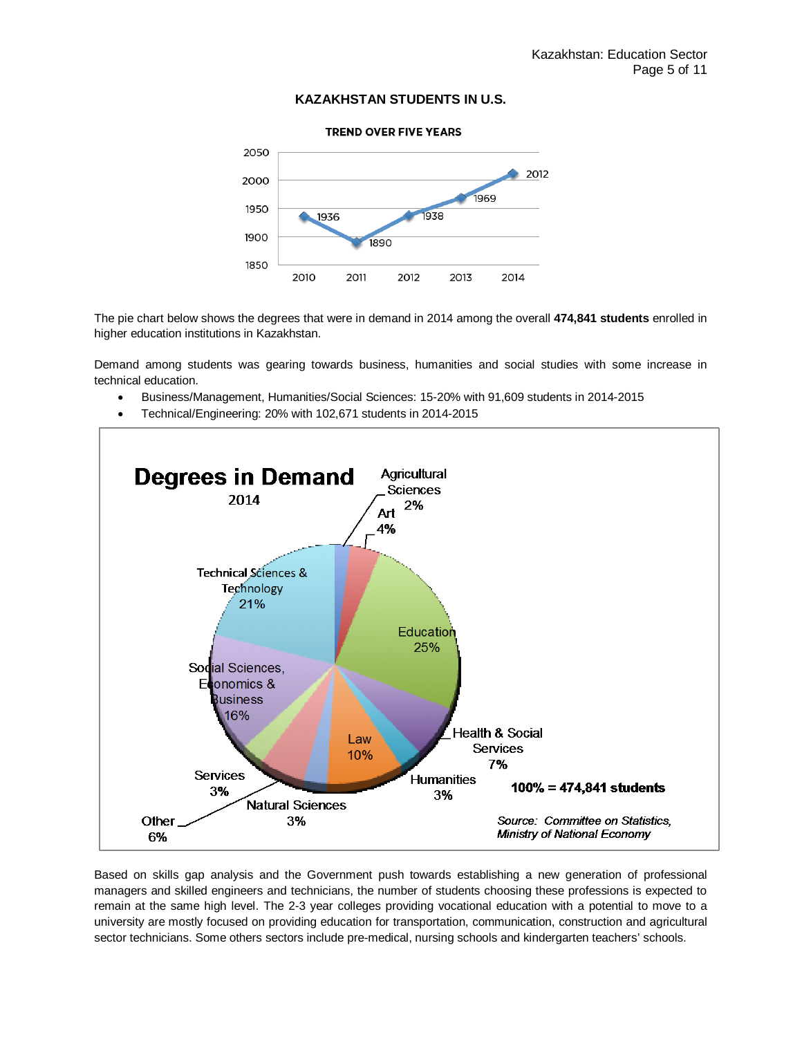### **KAZAKHSTAN STUDENTS IN U.S.**



The pie chart below shows the degrees that were in demand in 2014 among the overall **474,841 students** enrolled in higher education institutions in Kazakhstan.

Demand among students was gearing towards business, humanities and social studies with some increase in technical education.

- Business/Management, Humanities/Social Sciences: 15-20% with 91,609 students in 2014-2015
- Technical/Engineering: 20% with 102,671 students in 2014-2015



Based on skills gap analysis and the Government push towards establishing a new generation of professional managers and skilled engineers and technicians, the number of students choosing these professions is expected to remain at the same high level. The 2-3 year colleges providing vocational education with a potential to move to a university are mostly focused on providing education for transportation, communication, construction and agricultural sector technicians. Some others sectors include pre-medical, nursing schools and kindergarten teachers' schools.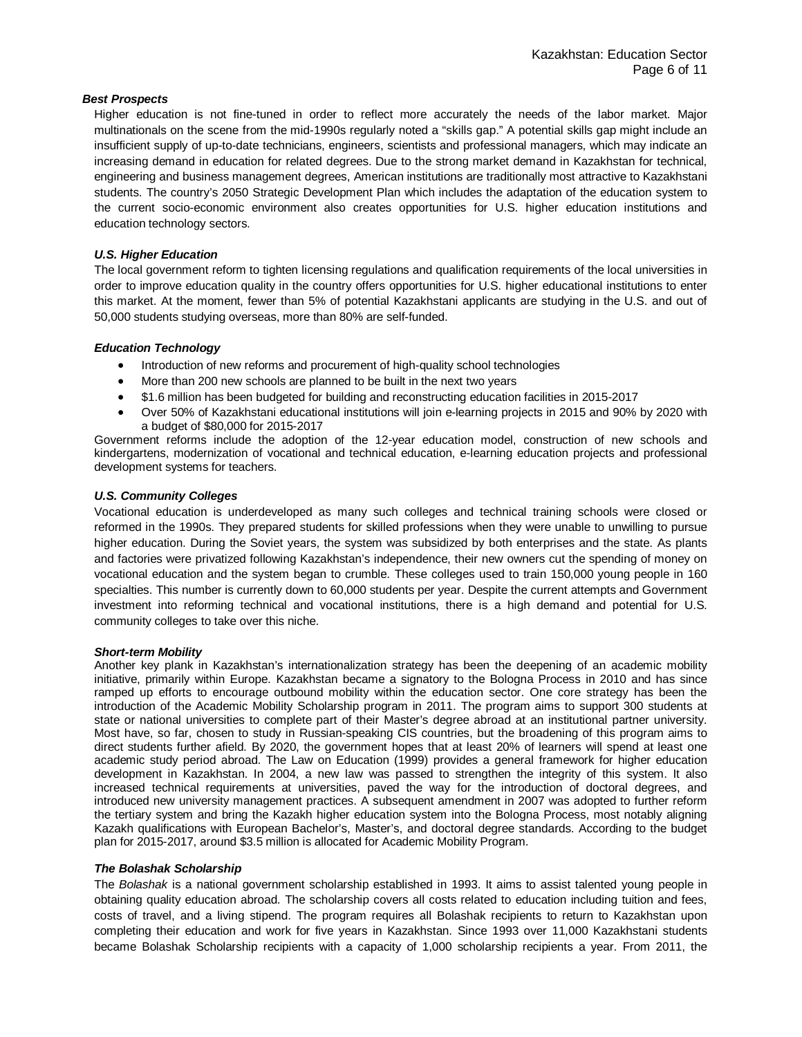#### *Best Prospects*

Higher education is not fine-tuned in order to reflect more accurately the needs of the labor market. Major multinationals on the scene from the mid-1990s regularly noted a "skills gap." A potential skills gap might include an insufficient supply of up-to-date technicians, engineers, scientists and professional managers, which may indicate an increasing demand in education for related degrees. Due to the strong market demand in Kazakhstan for technical, engineering and business management degrees, American institutions are traditionally most attractive to Kazakhstani students. The country's 2050 Strategic Development Plan which includes the adaptation of the education system to the current socio-economic environment also creates opportunities for U.S. higher education institutions and education technology sectors.

### *U.S. Higher Education*

The local government reform to tighten licensing regulations and qualification requirements of the local universities in order to improve education quality in the country offers opportunities for U.S. higher educational institutions to enter this market. At the moment, fewer than 5% of potential Kazakhstani applicants are studying in the U.S. and out of 50,000 students studying overseas, more than 80% are self-funded.

#### *Education Technology*

- Introduction of new reforms and procurement of high-quality school technologies
- More than 200 new schools are planned to be built in the next two years
- \$1.6 million has been budgeted for building and reconstructing education facilities in 2015-2017
- Over 50% of Kazakhstani educational institutions will join e-learning projects in 2015 and 90% by 2020 with a budget of \$80,000 for 2015-2017

Government reforms include the adoption of the 12-year education model, construction of new schools and kindergartens, modernization of vocational and technical education, e-learning education projects and professional development systems for teachers.

## *U.S. Community Colleges*

Vocational education is underdeveloped as many such colleges and technical training schools were closed or reformed in the 1990s. They prepared students for skilled professions when they were unable to unwilling to pursue higher education. During the Soviet years, the system was subsidized by both enterprises and the state. As plants and factories were privatized following Kazakhstan's independence, their new owners cut the spending of money on vocational education and the system began to crumble. These colleges used to train 150,000 young people in 160 specialties. This number is currently down to 60,000 students per year. Despite the current attempts and Government investment into reforming technical and vocational institutions, there is a high demand and potential for U.S. community colleges to take over this niche.

#### *Short-term Mobility*

Another key plank in Kazakhstan's internationalization strategy has been the deepening of an academic mobility initiative, primarily within Europe. Kazakhstan became a signatory to the Bologna Process in 2010 and has since ramped up efforts to encourage outbound mobility within the education sector. One core strategy has been the introduction of the Academic Mobility Scholarship program in 2011. The program aims to support 300 students at state or national universities to complete part of their Master's degree abroad at an institutional partner university. Most have, so far, chosen to study in Russian-speaking CIS countries, but the broadening of this program aims to direct students further afield. By 2020, the government hopes that at least 20% of learners will spend at least one academic study period abroad. The Law on Education (1999) provides [a general framework for higher education](http://eacea.ec.europa.eu/tempus/participating_countries/overview/Kazakhstan.pdf)  [development in Kazakhstan.](http://eacea.ec.europa.eu/tempus/participating_countries/overview/Kazakhstan.pdf) In 2004, a new law was passed to strengthen the integrity of this system. It also increased technical requirements at universities, paved the way for the introduction of doctoral degrees, and introduced new university management practices. A subsequent amendment in 2007 was adopted to further reform the tertiary system and bring the Kazakh higher education system into the [Bologna Process,](http://ec.europa.eu/education/policy/higher-education/bologna-process_en.htm) most notably aligning Kazakh qualifications with European Bachelor's, Master's, and doctoral degree standards. According to the budget plan for 2015-2017, around \$3.5 million is allocated for Academic Mobility Program.

#### *The Bolashak Scholarship*

The *Bolashak* is a national government scholarship established in 1993. It aims to assist talented young people in obtaining quality education abroad. The scholarship covers all costs related to education including tuition and fees, costs of travel, and a living stipend. The program requires all Bolashak recipients to return to Kazakhstan upon completing their education and work for five years in Kazakhstan. Since 1993 over 11,000 Kazakhstani students became Bolashak Scholarship recipients with a capacity of 1,000 scholarship recipients a year. From 2011, the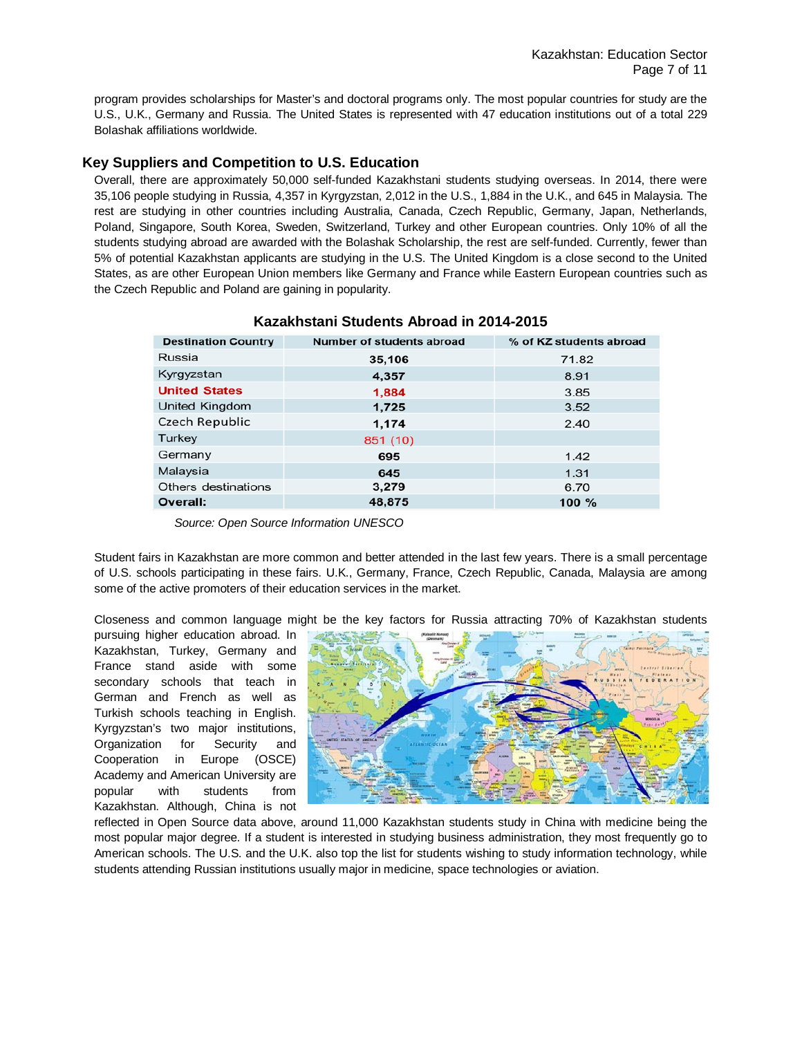program provides scholarships for Master's and doctoral programs only. The most popular countries for study are the U.S., U.K., Germany and Russia. The United States is represented with 47 education institutions out of a total 229 Bolashak affiliations worldwide.

# **Key Suppliers and Competition to U.S. Education**

Overall, there are approximately 50,000 self-funded Kazakhstani students studying overseas. In 2014, there were 35,106 people studying in Russia, 4,357 in Kyrgyzstan, 2,012 in the U.S., 1,884 in the U.K., and 645 in Malaysia. The rest are studying in other countries including Australia, Canada, Czech Republic, Germany, Japan, Netherlands, Poland, Singapore, South Korea, Sweden, Switzerland, Turkey and other European countries. Only 10% of all the students studying abroad are awarded with the Bolashak Scholarship, the rest are self-funded. Currently, fewer than 5% of potential Kazakhstan applicants are studying in the U.S. The United Kingdom is a close second to the United States, as are other European Union members like Germany and France while Eastern European countries such as the Czech Republic and Poland are gaining in popularity.

| <b>Destination Country</b> | Number of students abroad | % of KZ students abroad |
|----------------------------|---------------------------|-------------------------|
| Russia                     | 35,106                    | 71.82                   |
| Kyrgyzstan                 | 4,357                     | 8.91                    |
| <b>United States</b>       | 1,884                     | 3.85                    |
| United Kingdom             | 1,725                     | 3.52                    |
| <b>Czech Republic</b>      | 1,174                     | 2.40                    |
| <b>Turkey</b>              | 851 (10)                  |                         |
| Germany                    | 695                       | 1.42                    |
| Malaysia                   | 645                       | 1.31                    |
| Others destinations        | 3,279                     | 6.70                    |
| Overall:                   | 48,875                    | 100 $%$                 |

## **Kazakhstani Students Abroad in 2014-2015**

 *Source: Open Source Information UNESCO*

Student fairs in Kazakhstan are more common and better attended in the last few years. There is a small percentage of U.S. schools participating in these fairs. U.K., Germany, France, Czech Republic, Canada, Malaysia are among some of the active promoters of their education services in the market.

Closeness and common language might be the key factors for Russia attracting 70% of Kazakhstan students

pursuing higher education abroad. In Kazakhstan, Turkey, Germany and France stand aside with some secondary schools that teach in German and French as well as Turkish schools teaching in English. Kyrgyzstan's two major institutions, Organization for Security and Cooperation in Europe (OSCE) Academy and American University are popular with students from Kazakhstan. Although, China is not



reflected in Open Source data above, around 11,000 Kazakhstan students study in China with medicine being the most popular major degree. If a student is interested in studying business administration, they most frequently go to American schools. The U.S. and the U.K. also top the list for students wishing to study information technology, while students attending Russian institutions usually major in medicine, space technologies or aviation.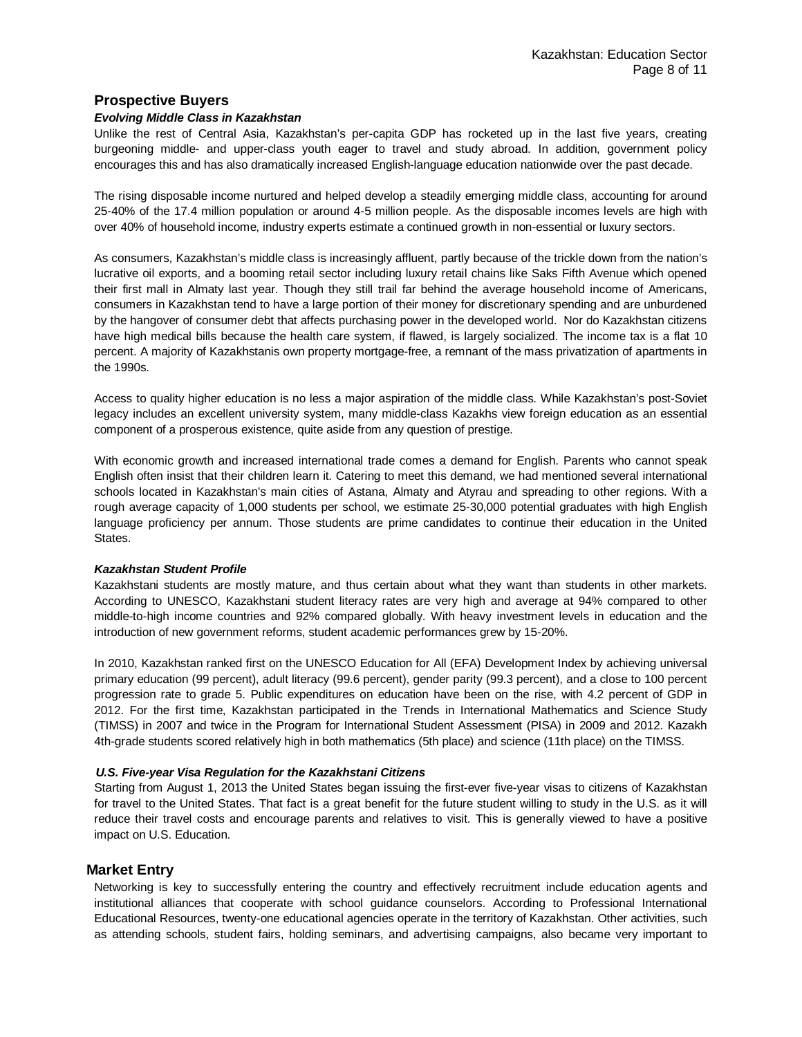## **Prospective Buyers**

#### *Evolving Middle Class in Kazakhstan*

Unlike the rest of Central Asia, Kazakhstan's per-capita GDP has rocketed up in the last five years, creating burgeoning middle- and upper-class youth eager to travel and study abroad. In addition, government policy encourages this and has also dramatically increased English-language education nationwide over the past decade.

The rising disposable income nurtured and helped develop a steadily emerging middle class, accounting for around 25-40% of the 17.4 million population or around 4-5 million people. As the disposable incomes levels are high with over 40% of household income, industry experts estimate a continued growth in non-essential or luxury sectors.

As consumers, Kazakhstan's middle class is increasingly affluent, partly because of the trickle down from the nation's lucrative oil exports, and a booming retail sector including luxury retail chains like Saks Fifth Avenue which opened their first mall in Almaty last year. Though they still trail far behind the average household income of Americans, consumers in Kazakhstan tend to have a large portion of their money for discretionary spending and are unburdened by the hangover of consumer debt that affects purchasing power in the developed world. Nor do Kazakhstan citizens have high medical bills because the health care system, if flawed, is largely socialized. The income tax is a flat 10 percent. A majority of Kazakhstanis own property mortgage-free, a remnant of the mass privatization of apartments in the 1990s.

Access to quality higher education is no less a major aspiration of the middle class. While Kazakhstan's post-Soviet legacy includes an excellent university system, many middle-class Kazakhs view foreign education as an essential component of a prosperous existence, quite aside from any question of prestige.

With economic growth and increased international trade comes a demand for English. Parents who cannot speak English often insist that their children learn it. Catering to meet this demand, we had mentioned several international schools located in Kazakhstan's main cities of Astana, Almaty and Atyrau and spreading to other regions. With a rough average capacity of 1,000 students per school, we estimate 25-30,000 potential graduates with high English language proficiency per annum. Those students are prime candidates to continue their education in the United States.

#### *Kazakhstan Student Profile*

Kazakhstani students are mostly mature, and thus certain about what they want than students in other markets. According to UNESCO, Kazakhstani student literacy rates are very high and average at 94% compared to other middle-to-high income countries and 92% compared globally. With heavy investment levels in education and the introduction of new government reforms, student academic performances grew by 15-20%.

In 2010, Kazakhstan ranked first on the UNESCO Education for All (EFA) Development Index by achieving universal primary education (99 percent), adult literacy (99.6 percent), gender parity (99.3 percent), and a close to 100 percent progression rate to grade 5. Public expenditures on education have been on the rise, with 4.2 percent of GDP in 2012. For the first time, Kazakhstan participated in the Trends in International Mathematics and Science Study (TIMSS) in 2007 and twice in the Program for International Student Assessment (PISA) in 2009 and 2012. Kazakh 4th-grade students scored relatively high in both mathematics (5th place) and science (11th place) on the TIMSS.

#### *U.S. Five-year Visa Regulation for the Kazakhstani Citizens*

Starting from August 1, 2013 the United States began issuing the first-ever five-year visas to citizens of Kazakhstan for travel to the United States. That fact is a great benefit for the future student willing to study in the U.S. as it will reduce their travel costs and encourage parents and relatives to visit. This is generally viewed to have a positive impact on U.S. Education.

## **Market Entry**

Networking is key to successfully entering the country and effectively recruitment include education agents and institutional alliances that cooperate with school guidance counselors. According to Professional International Educational Resources, twenty-one educational agencies operate in the territory of Kazakhstan. Other activities, such as attending schools, student fairs, holding seminars, and advertising campaigns, also became very important to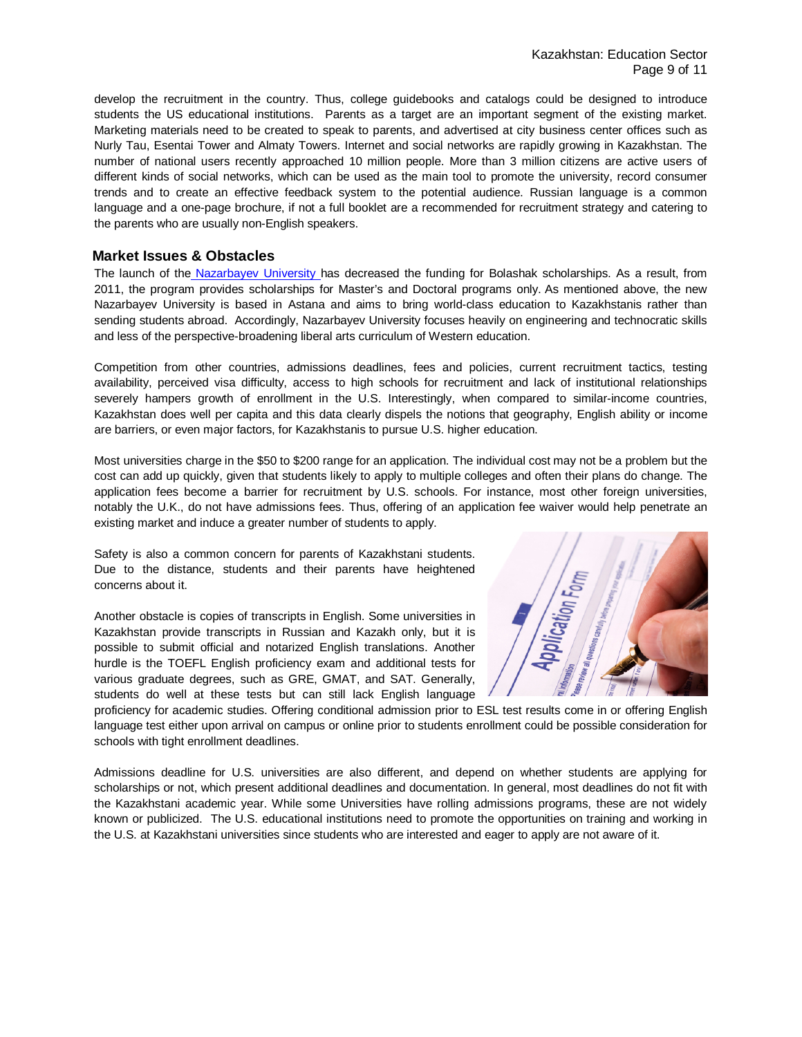develop the recruitment in the country. Thus, college guidebooks and catalogs could be designed to introduce students the US educational institutions. Parents as a target are an important segment of the existing market. Marketing materials need to be created to speak to parents, and advertised at city business center offices such as Nurly Tau, Esentai Tower and Almaty Towers. Internet and social networks are rapidly growing in Kazakhstan. The number of national users recently approached 10 million people. More than 3 million citizens are active users of different kinds of social networks, which can be used as the main tool to promote the university, record consumer trends and to create an effective feedback system to the potential audience. Russian language is a common language and a one-page brochure, if not a full booklet are a recommended for recruitment strategy and catering to the parents who are usually non-English speakers.

## **Market Issues & Obstacles**

The launch of the [Nazarbayev University h](http://www.nu.edu.kz/en)as decreased the funding for Bolashak scholarships. As a result, from 2011, the program provides scholarships for Master's and Doctoral programs only. As mentioned above, the new Nazarbayev University is based in Astana and aims to bring world-class education to Kazakhstanis rather than sending students abroad. Accordingly, Nazarbayev University focuses heavily on engineering and technocratic skills and less of the perspective-broadening liberal arts curriculum of Western education.

Competition from other countries, admissions deadlines, fees and policies, current recruitment tactics, testing availability, perceived visa difficulty, access to high schools for recruitment and lack of institutional relationships severely hampers growth of enrollment in the U.S. Interestingly, when compared to similar-income countries, Kazakhstan does well per capita and this data clearly dispels the notions that geography, English ability or income are barriers, or even major factors, for Kazakhstanis to pursue U.S. higher education.

Most universities charge in the \$50 to \$200 range for an application. The individual cost may not be a problem but the cost can add up quickly, given that students likely to apply to multiple colleges and often their plans do change. The application fees become a barrier for recruitment by U.S. schools. For instance, most other foreign universities, notably the U.K., do not have admissions fees. Thus, offering of an application fee waiver would help penetrate an existing market and induce a greater number of students to apply.

Safety is also a common concern for parents of Kazakhstani students. Due to the distance, students and their parents have heightened concerns about it.

Another obstacle is copies of transcripts in English. Some universities in Kazakhstan provide transcripts in Russian and Kazakh only, but it is possible to submit official and notarized English translations. Another hurdle is the TOEFL English proficiency exam and additional tests for various graduate degrees, such as GRE, GMAT, and SAT. Generally, students do well at these tests but can still lack English language



proficiency for academic studies. Offering conditional admission prior to ESL test results come in or offering English language test either upon arrival on campus or online prior to students enrollment could be possible consideration for schools with tight enrollment deadlines.

Admissions deadline for U.S. universities are also different, and depend on whether students are applying for scholarships or not, which present additional deadlines and documentation. In general, most deadlines do not fit with the Kazakhstani academic year. While some Universities have rolling admissions programs, these are not widely known or publicized. The U.S. educational institutions need to promote the opportunities on training and working in the U.S. at Kazakhstani universities since students who are interested and eager to apply are not aware of it.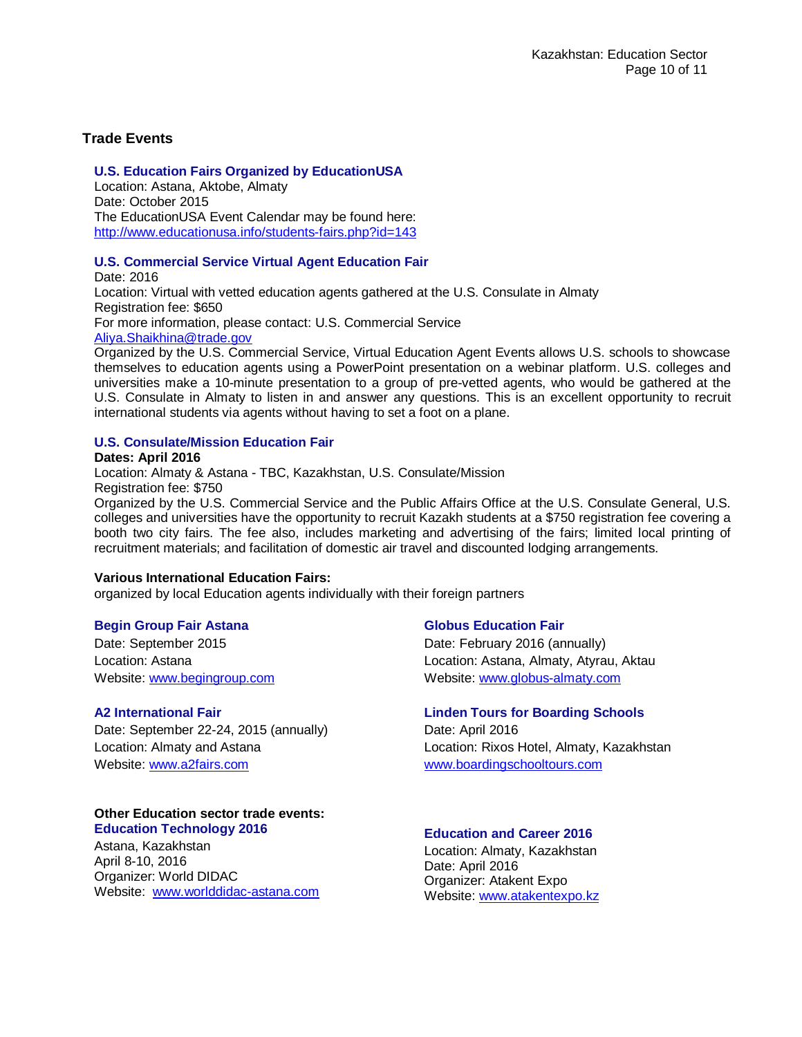# **Trade Events**

# **U.S. Education Fairs Organized by EducationUSA**

Location: Astana, Aktobe, Almaty Date: October 2015 The EducationUSA Event Calendar may be found here: http://www.educationusa.info/students-fairs.php?id=143

## **U.S. Commercial Service Virtual Agent Education Fair**

Date: 2016 Location: Virtual with vetted education agents gathered at the U.S. Consulate in Almaty Registration fee: \$650 For more information, please contact: U.S. Commercial Service [Aliya.Shaikhina@trade.gov](mailto:Aliya.Shaikhina@trade.gov)

Organized by the U.S. Commercial Service, Virtual Education Agent Events allows U.S. schools to showcase themselves to education agents using a PowerPoint presentation on a webinar platform. U.S. colleges and universities make a 10-minute presentation to a group of pre-vetted agents, who would be gathered at the U.S. Consulate in Almaty to listen in and answer any questions. This is an excellent opportunity to recruit international students via agents without having to set a foot on a plane.

## **U.S. Consulate/Mission Education Fair**

## **Dates: April 2016**

Location: Almaty & Astana - TBC, Kazakhstan, U.S. Consulate/Mission Registration fee: \$750

Organized by the U.S. Commercial Service and the Public Affairs Office at the U.S. Consulate General, U.S. colleges and universities have the opportunity to recruit Kazakh students at a \$750 registration fee covering a booth two city fairs. The fee also, includes marketing and advertising of the fairs; limited local printing of recruitment materials; and facilitation of domestic air travel and discounted lodging arrangements.

## **Various International Education Fairs:**

organized by local Education agents individually with their foreign partners

## **Begin Group Fair Astana**

Date: September 2015 Location: Astana Website[: www.begingroup.com](http://www.begingroup.com/)

## **A2 International Fair**

Date: September 22-24, 2015 (annually) Location: Almaty and Astana Website[: www.a2fairs.com](http://www.a2fairs.com/)

## **Other Education sector trade events: Education Technology 2016**

Astana, Kazakhstan April 8-10, 2016 Organizer: World DIDAC Website: [www.worlddidac-astana.com](http://www.worlddidac-astana.com/)

## **Globus Education Fair**

Date: February 2016 (annually) Location: Astana, Almaty, Atyrau, Aktau Website[: www.globus-almaty.com](http://www.globus-almaty.com/)

## **Linden Tours for Boarding Schools**

Date: April 2016 Location: Rixos Hotel, Almaty, Kazakhstan [www.boardingschooltours.com](http://www.boardingschooltours.com/)

## **Education and Career 2016**

Location: Almaty, Kazakhstan Date: April 2016 Organizer: Atakent Expo Website: [www.atakentexpo.kz](http://eng.atakentexpo.kz/news/detail.php?ID=113)